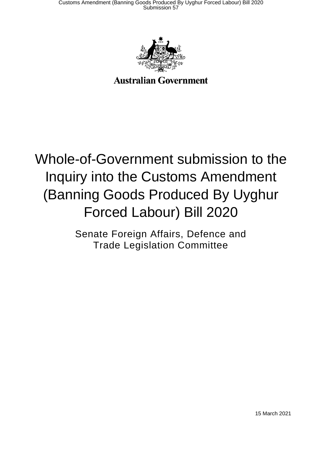

### **Australian Government**

# Whole-of-Government submission to the Inquiry into the Customs Amendment (Banning Goods Produced By Uyghur Forced Labour) Bill 2020

Senate Foreign Affairs, Defence and Trade Legislation Committee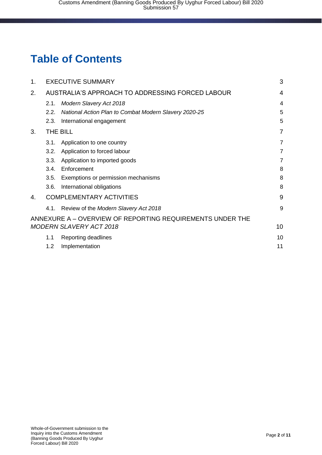### **Table of Contents**

| 1. |                                                  | <b>EXECUTIVE SUMMARY</b>                                  |                |
|----|--------------------------------------------------|-----------------------------------------------------------|----------------|
| 2. | AUSTRALIA'S APPROACH TO ADDRESSING FORCED LABOUR |                                                           | $\overline{4}$ |
|    | 2.1.                                             | <b>Modern Slavery Act 2018</b>                            | 4              |
|    | 2.2.                                             | National Action Plan to Combat Modern Slavery 2020-25     | 5              |
|    | 2.3.                                             | International engagement                                  | 5              |
| 3. | THE BILL                                         |                                                           |                |
|    | 3.1.                                             | Application to one country                                | $\overline{7}$ |
|    | 3.2.                                             | Application to forced labour                              | $\overline{7}$ |
|    | 3.3.                                             | Application to imported goods                             | $\overline{7}$ |
|    | 3.4.                                             | Enforcement                                               | 8              |
|    | 3.5.                                             | Exemptions or permission mechanisms                       | 8              |
|    | 3.6.                                             | International obligations                                 | 8              |
| 4. | <b>COMPLEMENTARY ACTIVITIES</b>                  |                                                           | 9              |
|    | 4.1.                                             | Review of the Modern Slavery Act 2018                     | 9              |
|    |                                                  | ANNEXURE A - OVERVIEW OF REPORTING REQUIREMENTS UNDER THE |                |
|    |                                                  | <b>MODERN SLAVERY ACT 2018</b>                            | 10             |
|    | 1.1                                              | Reporting deadlines                                       | 10             |
|    | 1.2                                              | Implementation                                            | 11             |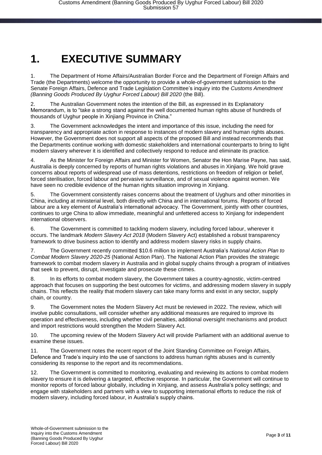### <span id="page-2-0"></span>**1. EXECUTIVE SUMMARY**

1. The Department of Home Affairs/Australian Border Force and the Department of Foreign Affairs and Trade (the Departments) welcome the opportunity to provide a whole-of-government submission to the Senate Foreign Affairs, Defence and Trade Legislation Committee's inquiry into the *Customs Amendment (Banning Goods Produced By Uyghur Forced Labour) Bill 2020* (the Bill).

2. The Australian Government notes the intention of the Bill, as expressed in its Explanatory Memorandum, is to "take a strong stand against the well documented human rights abuse of hundreds of thousands of Uyghur people in Xinjiang Province in China."

3. The Government acknowledges the intent and importance of this issue, including the need for transparency and appropriate action in response to instances of modern slavery and human rights abuses. However, the Government does not support all aspects of the proposed Bill and instead recommends that the Departments continue working with domestic stakeholders and international counterparts to bring to light modern slavery wherever it is identified and collectively respond to reduce and eliminate its practice.

4. As the Minister for Foreign Affairs and Minister for Women, Senator the Hon Marise Payne, has said, Australia is deeply concerned by reports of human rights violations and abuses in Xinjiang. We hold grave concerns about reports of widespread use of mass detentions, restrictions on freedom of religion or belief, forced sterilisation, forced labour and pervasive surveillance, and of sexual violence against women. We have seen no credible evidence of the human rights situation improving in Xinjiang.

5. The Government consistently raises concerns about the treatment of Uyghurs and other minorities in China, including at ministerial level, both directly with China and in international forums. Reports of forced labour are a key element of Australia's international advocacy. The Government, jointly with other countries, continues to urge China to allow immediate, meaningful and unfettered access to Xinjiang for independent international observers.

6. The Government is committed to tackling modern slavery, including forced labour, wherever it occurs. The landmark *Modern Slavery Act 2018* (Modern Slavery Act) established a robust transparency framework to drive business action to identify and address modern slavery risks in supply chains.

7. The Government recently committed \$10.6 million to implement Australia's *National Action Plan to Combat Modern Slavery 2020-25* (National Action Plan). The National Action Plan provides the strategic framework to combat modern slavery in Australia and in global supply chains through a program of initiatives that seek to prevent, disrupt, investigate and prosecute these crimes.

8. In its efforts to combat modern slavery, the Government takes a country-agnostic, victim-centred approach that focuses on supporting the best outcomes for victims, and addressing modern slavery in supply chains. This reflects the reality that modern slavery can take many forms and exist in any sector, supply chain, or country.

9. The Government notes the Modern Slavery Act must be reviewed in 2022. The review, which will involve public consultations, will consider whether any additional measures are required to improve its operation and effectiveness, including whether civil penalties, additional oversight mechanisms and product and import restrictions would strengthen the Modern Slavery Act.

10. The upcoming review of the Modern Slavery Act will provide Parliament with an additional avenue to examine these issues.

11. The Government notes the recent report of the Joint Standing Committee on Foreign Affairs, Defence and Trade's inquiry into the use of sanctions to address human rights abuses and is currently considering its response to the report and its recommendations.

12. The Government is committed to monitoring, evaluating and reviewing its actions to combat modern slavery to ensure it is delivering a targeted, effective response. In particular, the Government will continue to monitor reports of forced labour globally, including in Xinjiang, and assess Australia's policy settings; and engage with stakeholders and partners with a view to supporting international efforts to reduce the risk of modern slavery, including forced labour, in Australia's supply chains.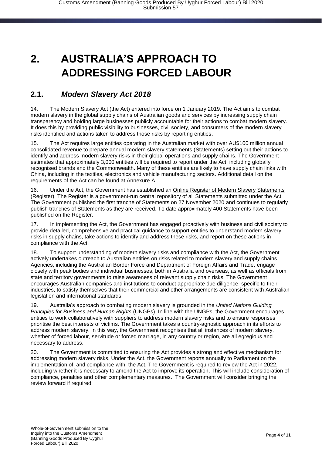### <span id="page-3-0"></span>**2. AUSTRALIA'S APPROACH TO ADDRESSING FORCED LABOUR**

#### <span id="page-3-1"></span>**2.1.** *Modern Slavery Act 2018*

14. The Modern Slavery Act (the Act) entered into force on 1 January 2019. The Act aims to combat modern slavery in the global supply chains of Australian goods and services by increasing supply chain transparency and holding large businesses publicly accountable for their actions to combat modern slavery. It does this by providing public visibility to businesses, civil society, and consumers of the modern slavery risks identified and actions taken to address those risks by reporting entities.

15. The Act requires large entities operating in the Australian market with over AU\$100 million annual consolidated revenue to prepare annual modern slavery statements (Statements) setting out their actions to identify and address modern slavery risks in their global operations and supply chains. The Government estimates that approximately 3,000 entities will be required to report under the Act, including globally recognised brands and the Commonwealth. Many of these entities are likely to have supply chain links with China, including in the textiles, electronics and vehicle manufacturing sectors. Additional detail on the requirements of the Act can be found at Annexure A.

16. Under the Act, the Government has established an Online Register of Modern Slavery Statements [\(Register\).](https://modernslaveryregister.gov.au/) The Register is a government-run central repository of all Statements submitted under the Act. The Government published the first tranche of Statements on 27 November 2020 and continues to regularly publish tranches of Statements as they are received. To date approximately 400 Statements have been published on the Register.

17. In implementing the Act, the Government has engaged proactively with business and civil society to provide detailed, comprehensive and practical guidance to support entities to understand modern slavery risks in supply chains, take actions to identify and address these risks, and report on these actions in compliance with the Act.

18. To support understanding of modern slavery risks and compliance with the Act, the Government actively undertakes outreach to Australian entities on risks related to modern slavery and supply chains. Agencies, including the Australian Border Force and Department of Foreign Affairs and Trade, engage closely with peak bodies and individual businesses, both in Australia and overseas, as well as officials from state and territory governments to raise awareness of relevant supply chain risks. The Government encourages Australian companies and institutions to conduct appropriate due diligence, specific to their industries, to satisfy themselves that their commercial and other arrangements are consistent with Australian legislation and international standards.

19. Australia's approach to combating modern slavery is grounded in the *United Nations Guiding Principles for Business and Human Rights* (UNGPs). In line with the UNGPs, the Government encourages entities to work collaboratively with suppliers to address modern slavery risks and to ensure responses prioritise the best interests of victims. The Government takes a country-agnostic approach in its efforts to address modern slavery. In this way, the Government recognises that all instances of modern slavery, whether of forced labour, servitude or forced marriage, in any country or region, are all egregious and necessary to address.

20. The Government is committed to ensuring the Act provides a strong and effective mechanism for addressing modern slavery risks. Under the Act, the Government reports annually to Parliament on the implementation of, and compliance with, the Act. The Government is required to review the Act in 2022, including whether it is necessary to amend the Act to improve its operation. This will include consideration of compliance, penalties and other complementary measures. The Government will consider bringing the review forward if required.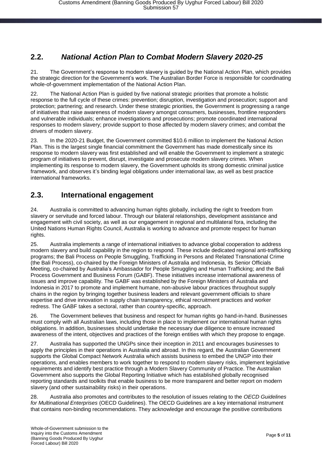#### <span id="page-4-0"></span>**2.2.** *National Action Plan to Combat Modern Slavery 2020-25*

21. The Government's response to modern slavery is guided by the National Action Plan, which provides the strategic direction for the Government's work. The Australian Border Force is responsible for coordinating whole-of-government implementation of the National Action Plan.

22. The National Action Plan is guided by five national strategic priorities that promote a holistic response to the full cycle of these crimes: prevention; disruption, investigation and prosecution; support and protection; partnering; and research. Under these strategic priorities, the Government is progressing a range of initiatives that raise awareness of modern slavery amongst consumers, businesses, frontline responders and vulnerable individuals; enhance investigations and prosecutions; promote coordinated international responses to modern slavery; provide support to those affected by modern slavery crimes; and combat the drivers of modern slavery.

23. In the 2020-21 Budget, the Government committed \$10.6 million to implement the National Action Plan. This is the largest single financial commitment the Government has made domestically since its response to modern slavery was first established and will enable the Government to implement a strategic program of initiatives to prevent, disrupt, investigate and prosecute modern slavery crimes. When implementing its response to modern slavery, the Government upholds its strong domestic criminal justice framework, and observes it's binding legal obligations under international law, as well as best practice international frameworks.

#### <span id="page-4-1"></span>**2.3. International engagement**

24. Australia is committed to advancing human rights globally, including the right to freedom from slavery or servitude and forced labour. Through our bilateral relationships, development assistance and engagement with civil society, as well as our engagement in regional and multilateral fora, including the United Nations Human Rights Council, Australia is working to advance and promote respect for human rights.

25. Australia implements a range of international initiatives to advance global cooperation to address modern slavery and build capability in the region to respond. These include dedicated regional anti-trafficking programs; the Bali Process on People Smuggling, Trafficking in Persons and Related Transnational Crime (the Bali Process), co-chaired by the Foreign Ministers of Australia and Indonesia, its Senior Officials Meeting, co-chaired by Australia's Ambassador for People Smuggling and Human Trafficking; and the Bali Process Government and Business Forum (GABF). These initiatives increase international awareness of issues and improve capability. The GABF was established by the Foreign Ministers of Australia and Indonesia in 2017 to promote and implement humane, non-abusive labour practices throughout supply chains in the region by bringing together business leaders and relevant government officials to share expertise and drive innovation in supply chain transparency, ethical recruitment practices and worker redress. The GABF takes a sectoral, rather than country-specific, approach.

26. The Government believes that business and respect for human rights go hand-in-hand. Businesses must comply with all Australian laws, including those in place to implement our international human rights obligations. In addition, businesses should undertake the necessary due diligence to ensure increased awareness of the intent, objectives and practices of the foreign entities with which they propose to engage.

27. Australia has supported the UNGPs since their inception in 2011 and encourages businesses to apply the principles in their operations in Australia and abroad. In this regard, the Australian Government supports the Global Compact Network Australia which assists business to embed the UNGP into their operations, and enables members to work together to respond to modern slavery risks, implement legislative requirements and identify best practice through a Modern Slavery Community of Practice. The Australian Government also supports the Global Reporting Initiative which has established globally recognised reporting standards and toolkits that enable business to be more transparent and better report on modern slavery (and other sustainability risks) in their operations.

28. Australia also promotes and contributes to the resolution of issues relating to the *OECD Guidelines for Multinational Enterprises* (OECD Guidelines). The OECD Guidelines are a key international instrument that contains non-binding recommendations. They acknowledge and encourage the positive contributions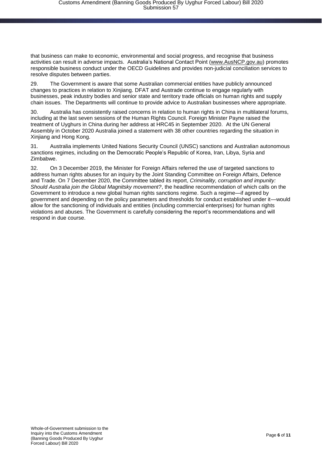that business can make to economic, environmental and social progress, and recognise that business activities can result in adverse impacts. Australia's National Contact Point [\(www.AusNCP.gov.au\)](http://www.ausncp.gov.au/) promotes responsible business conduct under the OECD Guidelines and provides non-judicial conciliation services to resolve disputes between parties.

29. The Government is aware that some Australian commercial entities have publicly announced changes to practices in relation to Xinjiang. DFAT and Austrade continue to engage regularly with businesses, peak industry bodies and senior state and territory trade officials on human rights and supply chain issues. The Departments will continue to provide advice to Australian businesses where appropriate.

30. Australia has consistently raised concerns in relation to human rights in China in multilateral forums, including at the last seven sessions of the Human Rights Council. Foreign Minister Payne raised the treatment of Uyghurs in China during her address at HRC45 in September 2020. At the UN General Assembly in October 2020 Australia joined a statement with 38 other countries regarding the situation in Xinjiang and Hong Kong.

31. Australia implements United Nations Security Council (UNSC) sanctions and Australian autonomous sanctions regimes, including on the Democratic People's Republic of Korea, Iran, Libya, Syria and Zimbabwe.

32. On 3 December 2019, the Minister for Foreign Affairs referred the use of targeted sanctions to address human rights abuses for an inquiry by the Joint Standing Committee on Foreign Affairs, Defence and Trade. On 7 December 2020, the Committee tabled its report, *Criminality, corruption and impunity: Should Australia join the Global Magnitsky movement?*, the headline recommendation of which calls on the Government to introduce a new global human rights sanctions regime. Such a regime—if agreed by government and depending on the policy parameters and thresholds for conduct established under it—would allow for the sanctioning of individuals and entities (including commercial enterprises) for human rights violations and abuses. The Government is carefully considering the report's recommendations and will respond in due course.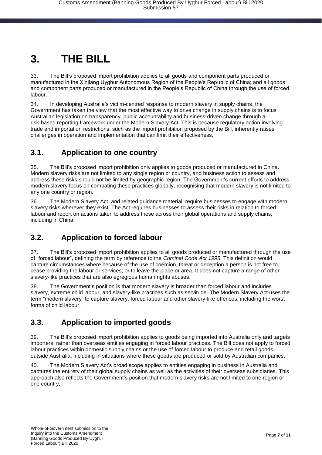## <span id="page-6-0"></span>**3. THE BILL**

33. The Bill's proposed import prohibition applies to all goods and component parts produced or manufactured in the Xinjiang Uyghur Autonomous Region of the People's Republic of China; and all goods and component parts produced or manufactured in the People's Republic of China through the use of forced labour.

34. In developing Australia's victim-centred response to modern slavery in supply chains, the Government has taken the view that the most effective way to drive change in supply chains is to focus Australian legislation on transparency, public accountability and business-driven change through a risk-based reporting framework under the Modern Slavery Act. This is because regulatory action involving trade and importation restrictions, such as the import prohibition proposed by the Bill, inherently raises challenges in operation and implementation that can limit their effectiveness.

#### <span id="page-6-1"></span>**3.1. Application to one country**

35. The Bill's proposed import prohibition only applies to goods produced or manufactured in China. Modern slavery risks are not limited to any single region or country, and business action to assess and address these risks should not be limited by geographic region. The Government's current efforts to address modern slavery focus on combating these practices globally, recognising that modern slavery is not limited to any one country or region.

36. The Modern Slavery Act, and related guidance material, require businesses to engage with modern slavery risks wherever they exist. The Act requires businesses to assess their risks in relation to forced labour and report on actions taken to address these across their global operations and supply chains, including in China.

#### <span id="page-6-2"></span>**3.2. Application to forced labour**

37. The Bill's proposed import prohibition applies to all goods produced or manufactured through the use of "forced labour", defining the term by reference to the *Criminal Code Act 1995*. This definition would capture circumstances where because of the use of coercion, threat or deception a person is not free to cease providing the labour or services; or to leave the place or area. It does not capture a range of other slavery-like practices that are also egregious human rights abuses.

The Government's position is that modern slavery is broader than forced labour and includes slavery, extreme child labour, and slavery-like practices such as servitude. The Modern Slavery Act uses the term "modern slavery" to capture slavery, forced labour and other slavery-like offences, including the worst forms of child labour.

#### <span id="page-6-3"></span>**3.3. Application to imported goods**

39. The Bill's proposed import prohibition applies to goods being imported into Australia only and targets importers, rather than overseas entities engaging in forced labour practices. The Bill does not apply to forced labour practices within domestic supply chains or the use of forced labour to produce and retail goods outside Australia, including in situations where these goods are produced or sold by Australian companies.

40. The Modern Slavery Act's broad scope applies to entities engaging in business in Australia and captures the entirety of their global supply chains as well as the activities of their overseas subsidiaries. This approach also reflects the Government's position that modern slavery risks are not limited to one region or one country.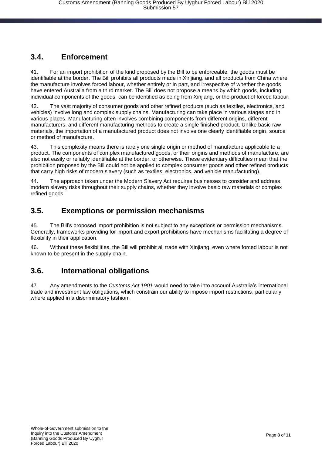#### <span id="page-7-0"></span>**3.4. Enforcement**

41. For an import prohibition of the kind proposed by the Bill to be enforceable, the goods must be identifiable at the border. The Bill prohibits all products made in Xinjiang, and all products from China where the manufacture involves forced labour, whether entirely or in part, and irrespective of whether the goods have entered Australia from a third market. The Bill does not propose a means by which goods, including individual components of the goods, can be identified as being from Xinjiang, or the product of forced labour.

42. The vast majority of consumer goods and other refined products (such as textiles, electronics, and vehicles) involve long and complex supply chains. Manufacturing can take place in various stages and in various places. Manufacturing often involves combining components from different origins, different manufacturers, and different manufacturing methods to create a single finished product. Unlike basic raw materials, the importation of a manufactured product does not involve one clearly identifiable origin, source or method of manufacture.

43. This complexity means there is rarely one single origin or method of manufacture applicable to a product. The components of complex manufactured goods, or their origins and methods of manufacture, are also not easily or reliably identifiable at the border, or otherwise. These evidentiary difficulties mean that the prohibition proposed by the Bill could not be applied to complex consumer goods and other refined products that carry high risks of modern slavery (such as textiles, electronics, and vehicle manufacturing).

44. The approach taken under the Modern Slavery Act requires businesses to consider and address modern slavery risks throughout their supply chains, whether they involve basic raw materials or complex refined goods.

#### <span id="page-7-1"></span>**3.5. Exemptions or permission mechanisms**

45. The Bill's proposed import prohibition is not subject to any exceptions or permission mechanisms. Generally, frameworks providing for import and export prohibitions have mechanisms facilitating a degree of flexibility in their application.

46. Without these flexibilities, the Bill will prohibit all trade with Xinjiang, even where forced labour is not known to be present in the supply chain.

#### <span id="page-7-2"></span>**3.6. International obligations**

47. Any amendments to the *Customs Act 1901* would need to take into account Australia's international trade and investment law obligations, which constrain our ability to impose import restrictions, particularly where applied in a discriminatory fashion.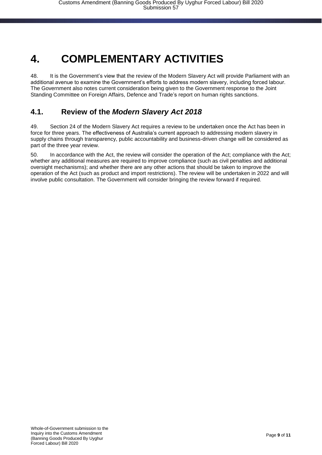### <span id="page-8-0"></span>**4. COMPLEMENTARY ACTIVITIES**

48. It is the Government's view that the review of the Modern Slavery Act will provide Parliament with an additional avenue to examine the Government's efforts to address modern slavery, including forced labour. The Government also notes current consideration being given to the Government response to the Joint Standing Committee on Foreign Affairs, Defence and Trade's report on human rights sanctions.

#### <span id="page-8-1"></span>**4.1. Review of the** *Modern Slavery Act 2018*

49. Section 24 of the Modern Slavery Act requires a review to be undertaken once the Act has been in force for three years. The effectiveness of Australia's current approach to addressing modern slavery in supply chains through transparency, public accountability and business-driven change will be considered as part of the three year review.

50. In accordance with the Act, the review will consider the operation of the Act; compliance with the Act; whether any additional measures are required to improve compliance (such as civil penalties and additional oversight mechanisms); and whether there are any other actions that should be taken to improve the operation of the Act (such as product and import restrictions). The review will be undertaken in 2022 and will involve public consultation. The Government will consider bringing the review forward if required.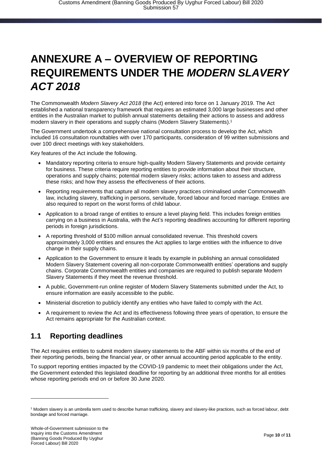### <span id="page-9-0"></span>**ANNEXURE A – OVERVIEW OF REPORTING REQUIREMENTS UNDER THE** *MODERN SLAVERY ACT 2018*

The Commonwealth *Modern Slavery Act 2018* (the Act) entered into force on 1 January 2019. The Act established a national transparency framework that requires an estimated 3,000 large businesses and other entities in the Australian market to publish annual statements detailing their actions to assess and address modern slavery in their operations and supply chains (Modern Slavery Statements). 1

The Government undertook a comprehensive national consultation process to develop the Act, which included 16 consultation roundtables with over 170 participants, consideration of 99 written submissions and over 100 direct meetings with key stakeholders.

Key features of the Act include the following.

- Mandatory reporting criteria to ensure high-quality Modern Slavery Statements and provide certainty for business. These criteria require reporting entities to provide information about their structure, operations and supply chains; potential modern slavery risks; actions taken to assess and address these risks; and how they assess the effectiveness of their actions.
- Reporting requirements that capture all modern slavery practices criminalised under Commonwealth law, including slavery, trafficking in persons, servitude, forced labour and forced marriage. Entities are also required to report on the worst forms of child labour.
- Application to a broad range of entities to ensure a level playing field. This includes foreign entities carrying on a business in Australia, with the Act's reporting deadlines accounting for different reporting periods in foreign jurisdictions.
- A reporting threshold of \$100 million annual consolidated revenue. This threshold covers approximately 3,000 entities and ensures the Act applies to large entities with the influence to drive change in their supply chains.
- Application to the Government to ensure it leads by example in publishing an annual consolidated Modern Slavery Statement covering all non-corporate Commonwealth entities' operations and supply chains. Corporate Commonwealth entities and companies are required to publish separate Modern Slavery Statements if they meet the revenue threshold.
- A public, Government-run online register of Modern Slavery Statements submitted under the Act, to ensure information are easily accessible to the public.
- Ministerial discretion to publicly identify any entities who have failed to comply with the Act.
- A requirement to review the Act and its effectiveness following three years of operation, to ensure the Act remains appropriate for the Australian context.

#### <span id="page-9-1"></span>**1.1 Reporting deadlines**

The Act requires entities to submit modern slavery statements to the ABF within six months of the end of their reporting periods, being the financial year, or other annual accounting period applicable to the entity.

To support reporting entities impacted by the COVID-19 pandemic to meet their obligations under the Act, the Government extended this legislated deadline for reporting by an additional three months for all entities whose reporting periods end on or before 30 June 2020.

-

<sup>1</sup> Modern slavery is an umbrella term used to describe human trafficking, slavery and slavery-like practices, such as forced labour, debt bondage and forced marriage.